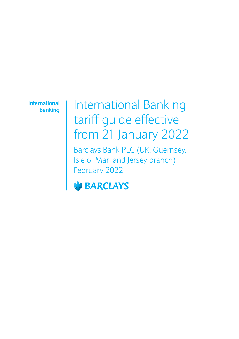**International Banking**

# International Banking tariff guide effective from 21 January 2022

Barclays Bank PLC (UK, Guernsey, Isle of Man and Jersey branch) February 2022

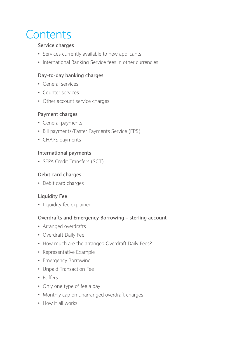# **Contents**

#### **Service charges**

- Services currently available to new applicants
- International Banking Service fees in other currencies

#### **Day-to-day banking charges**

- General services
- Counter services
- Other account service charges

#### **Payment charges**

- General payments
- Bill payments/Faster Payments Service (FPS)
- CHAPS payments

#### **International payments**

• SEPA Credit Transfers (SCT)

#### **Debit card charges**

• Debit card charges

#### **Liquidity Fee**

• Liquidity fee explained

#### **Overdrafts and Emergency Borrowing – sterling account**

- Arranged overdrafts
- Overdraft Daily Fee
- How much are the arranged Overdraft Daily Fees?
- Representative Example
- Emergency Borrowing
- Unpaid Transaction Fee
- Buffers
- Only one type of fee a day
- Monthly cap on unarranged overdraft charges
- How it all works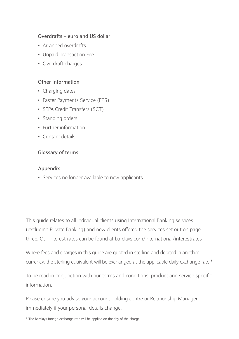#### **Overdrafts – euro and US dollar**

- Arranged overdrafts
- Unpaid Transaction Fee
- Overdraft charges

#### **Other information**

- Charging dates
- Faster Payments Service (FPS)
- SEPA Credit Transfers (SCT)
- Standing orders
- Further information
- Contact details

#### **Glossary of terms**

#### **Appendix**

• Services no longer available to new applicants

This guide relates to all individual clients using International Banking services (excluding Private Banking) and new clients offered the services set out on page three. Our interest rates can be found at barclays.com/international/interestrates

Where fees and charges in this guide are quoted in sterling and debited in another currency, the sterling equivalent will be exchanged at the applicable daily exchange rate.\*

To be read in conjunction with our terms and conditions, product and service specific information.

Please ensure you advise your account holding centre or Relationship Manager immediately if your personal details change.

\* The Barclays foreign exchange rate will be applied on the day of the charge.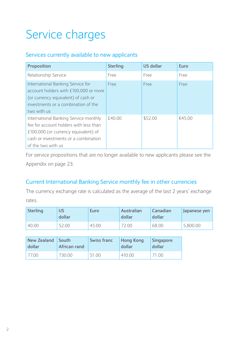# Service charges

## Services currently available to new applicants

| Proposition                                                                                                                                                                           | <b>Sterling</b> | US dollar | Euro   |
|---------------------------------------------------------------------------------------------------------------------------------------------------------------------------------------|-----------------|-----------|--------|
| Relationship Service                                                                                                                                                                  | Free            | Free      | Free   |
| International Banking Service for<br>account holders with £100,000 or more<br>(or currency equivalent) of cash or<br>investments or a combination of the<br>two with us               | Free            | Free      | Free   |
| International Banking Service monthly<br>fee for account holders with less than<br>£100,000 (or currency equivalent) of<br>cash or investments or a combination<br>of the two with us | f4000           | \$52.00   | €45.00 |

For service propositions that are no longer available to new applicants please see the Appendix on page 23.

## Current International Banking Service monthly fee in other currencies

The currency exchange rate is calculated as the average of the last 2 years' exchange rates.

| <b>Sterling</b> | บร<br>dollar | Euro  | Australian<br>dollar | Canadian<br>dollar | Japanese yen |
|-----------------|--------------|-------|----------------------|--------------------|--------------|
| 40.00           | 52.00        | 45.00 | 72.00                | 68.00              | 5.800.00     |

| New Zealand | South        | <b>Swiss franc</b> | <b>Hong Kong</b> | Singapore |
|-------------|--------------|--------------------|------------------|-----------|
| dollar      | African rand |                    | dollar           | dollar    |
| 77.00       | 730.00       | 51.00              | 410.00           | 71.00     |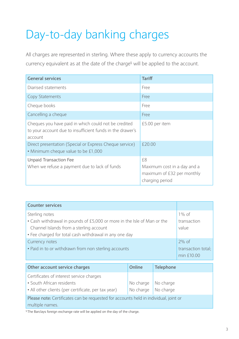# Day-to-day banking charges

All charges are represented in sterling. Where these apply to currency accounts the currency equivalent as at the date of the charge§ will be applied to the account.

| <b>General services</b>                                                                                                      | <b>Tariff</b>                                                                      |
|------------------------------------------------------------------------------------------------------------------------------|------------------------------------------------------------------------------------|
| Diarised statements                                                                                                          | Free                                                                               |
| Copy Statements                                                                                                              | Free                                                                               |
| Cheque books                                                                                                                 | Free                                                                               |
| Cancelling a cheque                                                                                                          | Free                                                                               |
| Cheques you have paid in which could not be credited<br>to your account due to insufficient funds in the drawer's<br>account | £5.00 per item                                                                     |
| Direct presentation (Special or Express Cheque service)<br>. Minimum cheque value to be £1,000                               | £20.00                                                                             |
| Unpaid Transaction Fee<br>When we refuse a payment due to lack of funds                                                      | £8<br>Maximum cost in a day and a<br>maximum of £32 per monthly<br>charging period |

| <b>Counter services</b>                                                                                                                                                                        |                                              |
|------------------------------------------------------------------------------------------------------------------------------------------------------------------------------------------------|----------------------------------------------|
| Sterling notes<br>• Cash withdrawal in pounds of £5,000 or more in the Isle of Man or the<br>Channel Islands from a sterling account<br>• Fee charged for total cash withdrawal in any one day | $1\%$ of<br>transaction<br>value             |
| Currency notes<br>• Paid in to or withdrawn from non sterling accounts                                                                                                                         | $2\%$ of<br>transaction total;<br>min £10.00 |

| Other account service charges                                                                                                                                  | Online                         | Telephone |
|----------------------------------------------------------------------------------------------------------------------------------------------------------------|--------------------------------|-----------|
| Certificates of interest service charges<br>• South African residents                                                                                          | No charge $\vert$ No charge    |           |
| • All other clients (per certificate, per tax year)<br>Please note: Certificates can be requested for accounts held in individual, joint or<br>multiple names. | $\sqrt{\frac{1}{1}}$ No charge |           |

§ The Barclays foreign exchange rate will be applied on the day of the charge.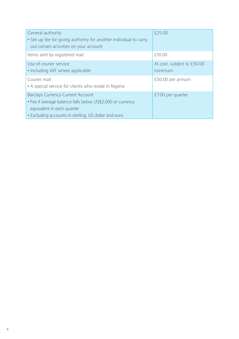| General authority<br>• Set-up fee for giving authority for another individual to carry<br>out certain activities on your account                                                              | £25.00                                |
|-----------------------------------------------------------------------------------------------------------------------------------------------------------------------------------------------|---------------------------------------|
| Items sent by registered mail                                                                                                                                                                 | £10.00                                |
| Use of courier service<br>• Including VAT where applicable                                                                                                                                    | At cost, subject to £50.00<br>minimum |
| Courier mail<br>• A special service for clients who reside in Nigeria                                                                                                                         | £50.00 per annum                      |
| <b>Barclays Currency Current Account</b><br>• Fee if average balance falls below US\$2,000 or currency<br>equivalent in each quarter<br>. Excluding accounts in sterling, US dollar and euro. | £7.00 per quarter                     |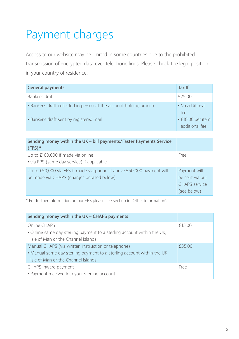# Payment charges

Access to our website may be limited in some countries due to the prohibited transmission of encrypted data over telephone lines. Please check the legal position in your country of residence.

| <b>General payments</b>                                                                                        | <b>Tariff</b>                               |
|----------------------------------------------------------------------------------------------------------------|---------------------------------------------|
| Banker's draft                                                                                                 | £25.00                                      |
| • Banker's draft collected in person at the account holding branch<br>• Banker's draft sent by registered mail | • No additional<br>fee<br>• £10.00 per item |
|                                                                                                                | additional fee                              |

| Sending money within the UK – bill payments/Faster Payments Service<br>$(FPS)*$                                      |                                                                        |
|----------------------------------------------------------------------------------------------------------------------|------------------------------------------------------------------------|
| Up to £100,000 if made via online<br>• via FPS (same day service) if applicable                                      | Free                                                                   |
| Up to £50,000 via FPS if made via phone. If above £50,000 payment will<br>be made via CHAPS (charges detailed below) | Payment will<br>be sent via our<br><b>CHAPS</b> service<br>(see below) |

\* For further information on our FPS please see section in 'Other information'.

| Sending money within the UK - CHAPS payments                            |        |
|-------------------------------------------------------------------------|--------|
| Online CHAPS                                                            | £15.00 |
| . Online same day sterling payment to a sterling account within the UK, |        |
| Isle of Man or the Channel Islands                                      |        |
| Manual CHAPS (via written instruction or telephone)                     | £35.00 |
| • Manual same day sterling payment to a sterling account within the UK, |        |
| Isle of Man or the Channel Islands                                      |        |
| CHAPS inward payment                                                    | Free   |
| • Payment received into your sterling account                           |        |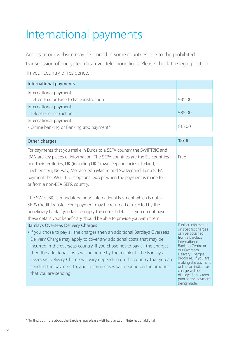# International payments

Access to our website may be limited in some countries due to the prohibited transmission of encrypted data over telephone lines. Please check the legal position in your country of residence.

| International payments                     |        |
|--------------------------------------------|--------|
| International payment                      |        |
| - Letter, Fax, or Face to Face instruction | £35.00 |
| International payment                      |        |
| - Telephone instruction                    | £35.00 |
| International payment                      |        |
| - Online banking or Banking app payment*   | f1500  |

| Other charges                                                                                                                                                                                                                                                                                                                                                                                                                                                                                                                                                                                                                                                                                                                    | <b>Tariff</b>                                                                                                                                                                                                                                                                                                            |
|----------------------------------------------------------------------------------------------------------------------------------------------------------------------------------------------------------------------------------------------------------------------------------------------------------------------------------------------------------------------------------------------------------------------------------------------------------------------------------------------------------------------------------------------------------------------------------------------------------------------------------------------------------------------------------------------------------------------------------|--------------------------------------------------------------------------------------------------------------------------------------------------------------------------------------------------------------------------------------------------------------------------------------------------------------------------|
| For payments that you make in Euros to a SEPA country the SWIFTBIC and<br>IBAN are key pieces of information. The SEPA countries are the EU countries<br>and their territories, UK (including UK Crown Dependencies), Iceland,<br>Liechtenstein, Norway, Monaco, San Marino and Switzerland. For a SEPA<br>payment the SWIFTBIC is optional except when the payment is made to<br>or from a non-EEA SEPA country.<br>The SWIFTBIC is mandatory for an International Payment which is not a<br>SEPA Credit Transfer. Your payment may be returned or rejected by the<br>beneficiary bank if you fail to supply the correct details. If you do not have<br>these details your beneficiary should be able to provide you with them. | Free                                                                                                                                                                                                                                                                                                                     |
| <b>Barclays Overseas Delivery Charges</b><br>• If you chose to pay all the charges then an additional Barclays Overseas<br>Delivery Charge may apply to cover any additional costs that may be<br>incurred in the overseas country. If you chose not to pay all the charges<br>then the additional costs will be borne by the recipient. The Barclays<br>Overseas Delivery Charge will vary depending on the country that you are<br>sending the payment to, and in some cases will depend on the amount<br>that you are sending.                                                                                                                                                                                                | Further information<br>on specific charges<br>can be obtained<br>from a Barclays<br>International<br><b>Banking Centre or</b><br>our Overseas<br>Delivery Charges<br>brochure. If you are<br>making the payment<br>online, an indicative<br>charge will be<br>displayed on screen<br>prior to the payment<br>being made. |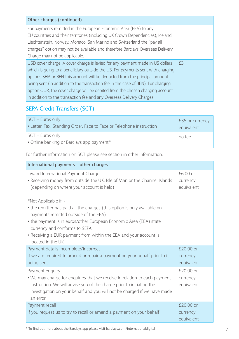| Other charges (continued)                                                        |    |
|----------------------------------------------------------------------------------|----|
| For payments remitted in the European Economic Area (EEA) to any                 |    |
| EU countries and their territories (including UK Crown Dependencies), Iceland,   |    |
| Liechtenstein, Norway, Monaco, San Marino and Switzerland the "pay all           |    |
| charges" option may not be available and therefore Barclays Overseas Delivery    |    |
| Charge may not be applicable.                                                    |    |
| USD cover charge: A cover charge is levied for any payment made in US dollars    | £3 |
| which is going to a beneficiary outside the US. For payments sent with charging  |    |
| options SHA or BEN this amount will be deducted from the principal amount        |    |
| being sent (in addition to the transaction fee in the case of BEN). For charging |    |
| option OUR, the cover charge will be debited from the chosen charging account    |    |
| in addition to the transaction fee and any Overseas Delivery Charges.            |    |

## SEPA Credit Transfers (SCT)

| SCT - Euros only                                                     | £35 or currency |
|----------------------------------------------------------------------|-----------------|
| • Letter, Fax, Standing Order, Face to Face or Telephone instruction | equivalent      |
| $SCT - Euros only$<br>• Online banking or Barclays app payment*      | no fee          |

For further information on SCT please see section in other information.

| International payments – other charges                                                                                                                                                                                                                                                                                                       |                                     |
|----------------------------------------------------------------------------------------------------------------------------------------------------------------------------------------------------------------------------------------------------------------------------------------------------------------------------------------------|-------------------------------------|
| Inward International Payment Charge<br>• Receiving money from outside the UK, Isle of Man or the Channel Islands<br>(depending on where your account is held)                                                                                                                                                                                | £6.00 or<br>currency<br>equivalent  |
| *Not Applicable if: -<br>• the remitter has paid all the charges (this option is only available on<br>payments remitted outside of the EEA)<br>• the payment is in euros/other European Economic Area (EEA) state<br>currency and conforms to SEPA<br>• Receiving a EUR payment from within the EEA and your account is<br>located in the UK |                                     |
| Payment details incomplete/incorrect<br>If we are required to amend or repair a payment on your behalf prior to it<br>being sent                                                                                                                                                                                                             | £20.00 or<br>currency<br>equivalent |
| Payment enguiry<br>• We may charge for enguiries that we receive in relation to each payment<br>instruction. We will advise you of the charge prior to initiating the<br>investigation on your behalf and you will not be charged if we have made<br>an error                                                                                | £20.00 or<br>currency<br>equivalent |
| Payment recall<br>If you request us to try to recall or amend a payment on your behalf                                                                                                                                                                                                                                                       | £20.00 or<br>currency<br>equivalent |

\* To find out more about the Barclays app please visit barclays.com/internationaldigital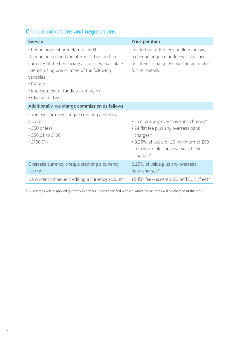## Cheque collections and negotiations

| <b>Service</b>                                                                                                                                                                                                                                                                          | Price per item                                                                                                                                                                    |
|-----------------------------------------------------------------------------------------------------------------------------------------------------------------------------------------------------------------------------------------------------------------------------------------|-----------------------------------------------------------------------------------------------------------------------------------------------------------------------------------|
| Cheque negotiation/deferred credit<br>Depending on the type of transaction and the<br>currency of the beneficiary account, we calculate<br>interest using one or more of the following<br>variables·<br>$\bullet$ FX rate<br>• Interest (cost of funds plus margin)<br>• Clearance days | In addition to the fees outlined below,<br>a cheque negotiation fee will also incur<br>an interest charge. Please contact us for<br>further details.                              |
| Additionally, we charge commission as follows                                                                                                                                                                                                                                           |                                                                                                                                                                                   |
| Overseas currency cheque crediting a Sterling<br>account:<br>$\cdot$ £50 or less<br>$\cdot$ £50.01 to £100<br>$• E100.01+$                                                                                                                                                              | • Free plus any overseas bank charges*<br>• £4 flat fee plus any overseas bank<br>charges*<br>• 0.25% of value or £9 minimum to £60<br>maximum plus any overseas bank<br>charges* |
| Overseas currency cheque crediting a currency<br>account                                                                                                                                                                                                                                | 0.25% of value plus any overseas<br>bank charges*                                                                                                                                 |
| UK currency cheque crediting a currency account                                                                                                                                                                                                                                         | £9 flat fee – except USD and EUR (free)*                                                                                                                                          |

\* All charges will be applied quarterly in arrears, unless specified with a \* where those items will be charged at the time.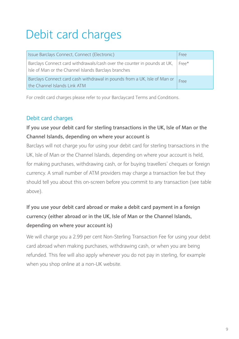# Debit card charges

| Issue Barclays Connect, Connect (Electronic)                                                                                     | Free  |
|----------------------------------------------------------------------------------------------------------------------------------|-------|
| Barclays Connect card withdrawals/cash over the counter in pounds at UK,<br>Isle of Man or the Channel Islands Barclays branches | Free* |
| Barclays Connect card cash withdrawal in pounds from a UK, Isle of Man or<br>the Channel Islands Link ATM                        | Free  |

For credit card charges please refer to your Barclaycard Terms and Conditions.

## Debit card charges

## **If you use your debit card for sterling transactions in the UK, Isle of Man or the Channel Islands, depending on where your account is**

Barclays will not charge you for using your debit card for sterling transactions in the UK, Isle of Man or the Channel Islands, depending on where your account is held, for making purchases, withdrawing cash, or for buying travellers' cheques or foreign currency. A small number of ATM providers may charge a transaction fee but they should tell you about this on-screen before you commit to any transaction (see table above).

## **If you use your debit card abroad or make a debit card payment in a foreign currency (either abroad or in the UK, Isle of Man or the Channel Islands, depending on where your account is)**

We will charge you a 2.99 per cent Non-Sterling Transaction Fee for using your debit card abroad when making purchases, withdrawing cash, or when you are being refunded. This fee will also apply whenever you do not pay in sterling, for example when you shop online at a non-UK website.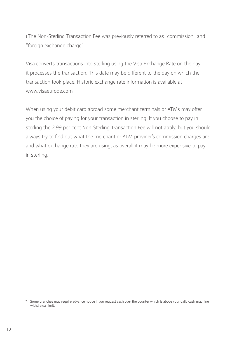(The Non-Sterling Transaction Fee was previously referred to as "commission" and "foreign exchange charge"

Visa converts transactions into sterling using the Visa Exchange Rate on the day it processes the transaction. This date may be different to the day on which the transaction took place. Historic exchange rate information is available at www.visaeurope.com

When using your debit card abroad some merchant terminals or ATMs may offer you the choice of paying for your transaction in sterling. If you choose to pay in sterling the 2.99 per cent Non-Sterling Transaction Fee will not apply, but you should always try to find out what the merchant or ATM provider's commission charges are and what exchange rate they are using, as overall it may be more expensive to pay in sterling.

Some branches may require advance notice if you request cash over the counter which is above your daily cash machine withdrawal limit.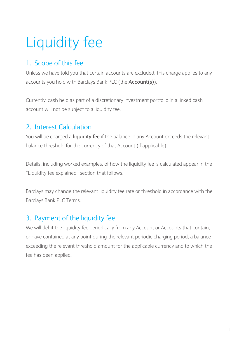# Liquidity fee

# 1. Scope of this fee

Unless we have told you that certain accounts are excluded, this charge applies to any accounts you hold with Barclays Bank PLC (the **Account(s)**).

Currently, cash held as part of a discretionary investment portfolio in a linked cash account will not be subject to a liquidity fee.

# 2. Interest Calculation

You will be charged a **liquidity fee** if the balance in any Account exceeds the relevant balance threshold for the currency of that Account (if applicable).

Details, including worked examples, of how the liquidity fee is calculated appear in the "Liquidity fee explained" section that follows.

Barclays may change the relevant liquidity fee rate or threshold in accordance with the Barclays Bank PLC Terms.

## 3. Payment of the liquidity fee

We will debit the liquidity fee periodically from any Account or Accounts that contain, or have contained at any point during the relevant periodic charging period, a balance exceeding the relevant threshold amount for the applicable currency and to which the fee has been applied.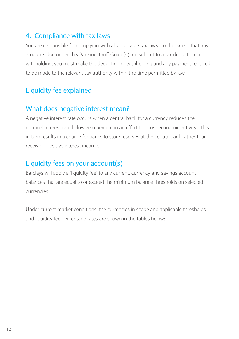## 4. Compliance with tax laws

You are responsible for complying with all applicable tax laws. To the extent that any amounts due under this Banking Tariff Guide(s) are subject to a tax deduction or withholding, you must make the deduction or withholding and any payment required to be made to the relevant tax authority within the time permitted by law.

## Liquidity fee explained

## What does negative interest mean?

A negative interest rate occurs when a central bank for a currency reduces the nominal interest rate below zero percent in an effort to boost economic activity. This in turn results in a charge for banks to store reserves at the central bank rather than receiving positive interest income.

## Liquidity fees on your account(s)

Barclays will apply a 'liquidity fee' to any current, currency and savings account balances that are equal to or exceed the minimum balance thresholds on selected currencies.

Under current market conditions, the currencies in scope and applicable thresholds and liquidity fee percentage rates are shown in the tables below: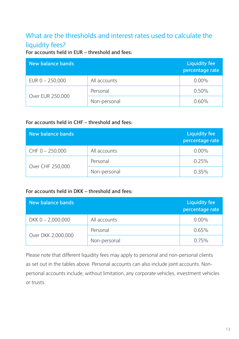# What are the thresholds and interest rates used to calculate the liquidity fees?

**For accounts held in EUR – threshold and fees:**

| New balance bands |              | <b>Liquidity fee</b><br>percentage rate |
|-------------------|--------------|-----------------------------------------|
| EUR $0 - 250,000$ | All accounts | $0.00\%$                                |
|                   | Personal     | 0.50%                                   |
| Over EUR 250,000  | Non-personal | $0.60\%$                                |

### **For accounts held in CHF – threshold and fees:**

| New balance bands |              | <b>Liquidity fee</b><br>percentage rate |
|-------------------|--------------|-----------------------------------------|
| $CHF 0 - 250,000$ | All accounts | $0.00\%$                                |
|                   | Personal     | 0.25%                                   |
| Over CHF 250,000  | Non-personal | $0.35\%$                                |

#### **For accounts held in DKK – threshold and fees:**

| New balance bands   |              | <b>Liquidity fee</b><br>percentage rate |
|---------------------|--------------|-----------------------------------------|
| DKK $0 - 2,000,000$ | All accounts | $0.00\%$                                |
|                     | Personal     | 0.65%                                   |
| Over DKK 2,000,000  | Non-personal | 0.75%                                   |

Please note that different liquidity fees may apply to personal and non-personal clients as set out in the tables above. Personal accounts can also include joint accounts. Nonpersonal accounts include, without limitation, any corporate vehicles, investment vehicles or trusts.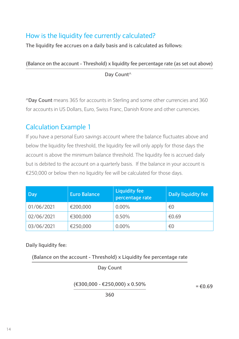# How is the liquidity fee currently calculated?

**The liquidity fee accrues on a daily basis and is calculated as follows:**

**(Balance on the account - Threshold) x liquidity fee percentage rate (as set out above)**

 **Day Count^**

**^Day Count** means 365 for accounts in Sterling and some other currencies and 360 for accounts in US Dollars, Euro, Swiss Franc, Danish Krone and other currencies.

## Calculation Example 1

If you have a personal Euro savings account where the balance fluctuates above and below the liquidity fee threshold, the liquidity fee will only apply for those days the account is above the minimum balance threshold. The liquidity fee is accrued daily but is debited to the account on a quarterly basis. If the balance in your account is €250,000 or below then no liquidity fee will be calculated for those days.

| Day        | <b>Euro Balance</b> | <b>Liquidity fee</b><br>percentage rate | Daily liquidity fee |
|------------|---------------------|-----------------------------------------|---------------------|
| 01/06/2021 | €200,000            | $0.00\%$                                | €0                  |
| 02/06/2021 | €300,000            | 0.50%                                   | €0.69               |
| 03/06/2021 | €250,000            | $0.00\%$                                | €0                  |

**Daily liquidity fee:**

**(Balance on the account - Threshold) x Liquidity fee percentage rate**

**Day Count**

**(€300,000 - €250,000) x 0.50%**

**= €0.69**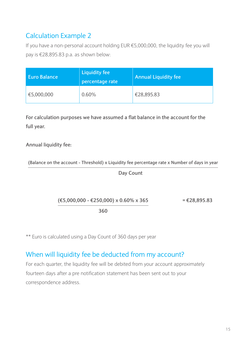# Calculation Example 2

If you have a non-personal account holding EUR €5,000,000, the liquidity fee you will pay is €28,895.83 p.a. as shown below:

| <b>Euro Balance</b> | <b>Liquidity fee</b><br>percentage rate | <b>Annual Liquidity fee</b> |
|---------------------|-----------------------------------------|-----------------------------|
| €5,000,000          | $0.60\%$                                | €28,895.83                  |

**For calculation purposes we have assumed a flat balance in the account for the full year.**

### **Annual liquidity fee:**

**(Balance on the account - Threshold) x Liquidity fee percentage rate x Number of days in year**

**Day Count**

**(€5,000,000 - €250,000) x 0.60% x 365**

**= €28,895.83**

**360**

\*\* Euro is calculated using a Day Count of 360 days per year

## When will liquidity fee be deducted from my account?

For each quarter, the liquidity fee will be debited from your account approximately fourteen days after a pre notification statement has been sent out to your correspondence address.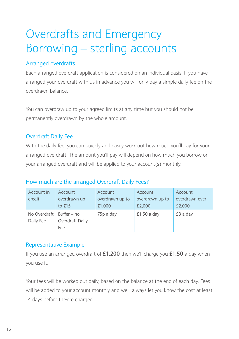# Overdrafts and Emergency Borrowing – sterling accounts

## Arranged overdrafts

Each arranged overdraft application is considered on an individual basis. If you have arranged your overdraft with us in advance you will only pay a simple daily fee on the overdrawn balance.

You can overdraw up to your agreed limits at any time but you should not be permanently overdrawn by the whole amount.

## Overdraft Daily Fee

With the daily fee, you can quickly and easily work out how much you'll pay for your arranged overdraft. The amount you'll pay will depend on how much you borrow on your arranged overdraft and will be applied to your account(s) monthly.

### How much are the arranged Overdraft Daily Fees?

| Account in<br>credit      | Account<br>overdrawn up<br>to £15     | Account<br>overdrawn up to<br>£1,000 | Account<br>overdrawn up to<br>£2,000 | Account<br>overdrawn over<br>£2,000 |
|---------------------------|---------------------------------------|--------------------------------------|--------------------------------------|-------------------------------------|
| No Overdraft<br>Daily Fee | Buffer – no<br>Overdraft Daily<br>Fee | 75p a day                            | $£1.50a$ day                         | £3 a day                            |

### Representative Example:

If you use an arranged overdraft of **£1,200** then we'll charge you **£1.50** a day when you use it.

Your fees will be worked out daily, based on the balance at the end of each day. Fees will be added to your account monthly and we'll always let you know the cost at least 14 days before they're charged.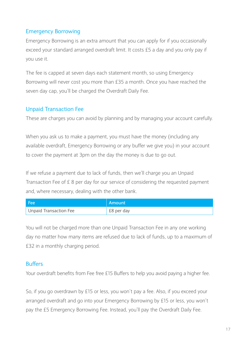## Emergency Borrowing

Emergency Borrowing is an extra amount that you can apply for if you occasionally exceed your standard arranged overdraft limit. It costs £5 a day and you only pay if you use it.

The fee is capped at seven days each statement month, so using Emergency Borrowing will never cost you more than £35 a month. Once you have reached the seven day cap, you'll be charged the Overdraft Daily Fee.

### Unpaid Transaction Fee

These are charges you can avoid by planning and by managing your account carefully.

When you ask us to make a payment, you must have the money (including any available overdraft, Emergency Borrowing or any buffer we give you) in your account to cover the payment at 3pm on the day the money is due to go out.

If we refuse a payment due to lack of funds, then we'll charge you an Unpaid Transaction Fee of £ 8 per day for our service of considering the requested payment and, where necessary, dealing with the other bank.

| l Fee                  | Amount     |
|------------------------|------------|
| Unpaid Transaction Fee | £8 per day |

You will not be charged more than one Unpaid Transaction Fee in any one working day no matter how many items are refused due to lack of funds, up to a maximum of £32 in a monthly charging period.

### **Buffers**

Your overdraft benefits from Fee free £15 Buffers to help you avoid paying a higher fee.

So, if you go overdrawn by £15 or less, you won't pay a fee. Also, if you exceed your arranged overdraft and go into your Emergency Borrowing by £15 or less, you won't pay the £5 Emergency Borrowing Fee. Instead, you'll pay the Overdraft Daily Fee.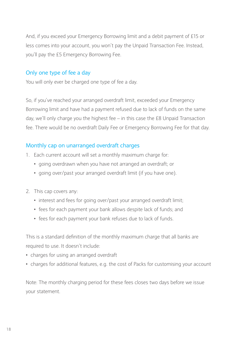And, if you exceed your Emergency Borrowing limit and a debit payment of £15 or less comes into your account, you won't pay the Unpaid Transaction Fee. Instead, you'll pay the £5 Emergency Borrowing Fee.

### Only one type of fee a day

You will only ever be charged one type of fee a day.

So, if you've reached your arranged overdraft limit, exceeded your Emergency Borrowing limit and have had a payment refused due to lack of funds on the same day, we'll only charge you the highest fee – in this case the £8 Unpaid Transaction fee. There would be no overdraft Daily Fee or Emergency Borrowing Fee for that day.

## Monthly cap on unarranged overdraft charges

- 1. Each current account will set a monthly maximum charge for:
	- going overdrawn when you have not arranged an overdraft; or
	- going over/past your arranged overdraft limit (if you have one).
- 2. This cap covers any:
	- interest and fees for going over/past your arranged overdraft limit;
	- fees for each payment your bank allows despite lack of funds; and
	- fees for each payment your bank refuses due to lack of funds.

This is a standard definition of the monthly maximum charge that all banks are required to use. It doesn't include:

- charges for using an arranged overdraft
- charges for additional features, e.g. the cost of Packs for customising your account

Note: The monthly charging period for these fees closes two days before we issue your statement.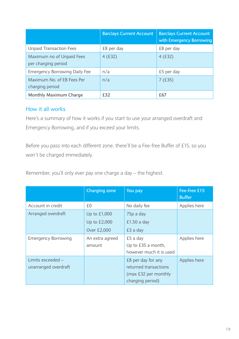|                                                  | <b>Barclays Current Account</b> | <b>Barclays Current Account</b><br>with Emergency Borrowing |
|--------------------------------------------------|---------------------------------|-------------------------------------------------------------|
| <b>Unpaid Transaction Fees</b>                   | £8 per day                      | £8 per day                                                  |
| Maximum no of Unpaid Fees<br>per charging period | 4(E32)                          | 4(E32)                                                      |
| <b>Emergency Borrowing Daily Fee</b>             | n/a                             | £5 per day                                                  |
| Maximum No. of EB Fees Per<br>charging period    | n/a                             | 7(f.35)                                                     |
| Monthly Maximum Charge                           | <b>£32</b>                      | £67                                                         |

### How it all works

Here's a summary of how it works if you start to use your arranged overdraft and Emergency Borrowing, and if you exceed your limits.

Before you pass into each different zone, there'll be a Fee-free Buffer of £15, so you won't be charged immediately.

Remember, you'll only ever pay one charge a day – the highest.

|                                           | Charging zone             | You pay                                                                                 | Fee-free £15<br><b>Buffer</b> |
|-------------------------------------------|---------------------------|-----------------------------------------------------------------------------------------|-------------------------------|
| Account in credit                         | £0                        | No daily fee                                                                            | Applies here                  |
| Arranged overdraft                        | Up to £1,000              | 75p a day                                                                               |                               |
|                                           | Up to £2,000              | $£1.50a$ day                                                                            |                               |
|                                           | Over £2,000               | £3 a day                                                                                |                               |
| <b>Emergency Borrowing</b>                | An extra agreed<br>amount | £5 a day<br>Up to £35 a month,<br>however much it is used                               | Applies here                  |
| Limits exceeded -<br>unarranged overdraft |                           | £8 per day for any<br>returned transactions<br>(max £32 per monthly<br>charging period) | Applies here                  |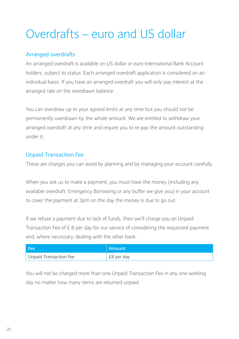# Overdrafts – euro and US dollar

## Arranged overdrafts

An arranged overdraft is available on US dollar or euro International Bank Account holders, subject to status. Each arranged overdraft application is considered on an individual basis. If you have an arranged overdraft you will only pay interest at the arranged rate on the overdrawn balance.

You can overdraw up to your agreed limits at any time but you should not be permanently overdrawn by the whole amount. We are entitled to withdraw your arranged overdraft at any time and require you to re-pay the amount outstanding under it.

## Unpaid Transaction Fee

These are charges you can avoid by planning and by managing your account carefully.

When you ask us to make a payment, you must have the money (including any available overdraft, Emergency Borrowing or any buffer we give you) in your account to cover the payment at 3pm on the day the money is due to go out.

If we refuse a payment due to lack of funds, then we'll charge you an Unpaid Transaction Fee of £ 8 per day for our service of considering the requested payment and, where necessary, dealing with the other bank.

| - Fee                  | Amount     |
|------------------------|------------|
| Unpaid Transaction Fee | £8 per day |

You will not be charged more than one Unpaid Transaction Fee in any one working day no matter how many items are returned unpaid.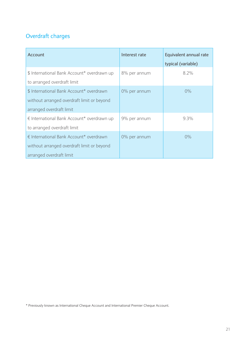## Overdraft charges

| Account                                     | Interest rate | Equivalent annual rate |
|---------------------------------------------|---------------|------------------------|
|                                             |               | typical (variable)     |
| \$ International Bank Account* overdrawn up | 8% per annum  | 8.2%                   |
| to arranged overdraft limit                 |               |                        |
| \$ International Bank Account* overdrawn    | 0% per annum  | $0\%$                  |
| without arranged overdraft limit or beyond  |               |                        |
| arranged overdraft limit                    |               |                        |
| € International Bank Account* overdrawn up  | 9% per annum  | 9.3%                   |
| to arranged overdraft limit                 |               |                        |
| € International Bank Account* overdrawn     | 0% per annum  | 0%                     |
| without arranged overdraft limit or beyond  |               |                        |
| arranged overdraft limit                    |               |                        |

\* Previously known as International Cheque Account and International Premier Cheque Account.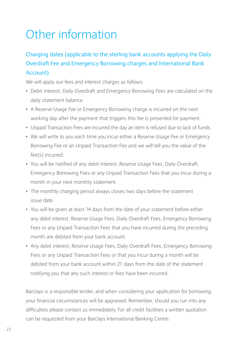# Other information

## Charging dates (applicable to the sterling bank accounts applying the Daily Overdraft Fee and Emergency Borrowing charges and International Bank Account)

We will apply our fees and interest charges as follows:

- Debit interest, Daily Overdraft and Emergency Borrowing Fees are calculated on the daily statement balance.
- A Reserve Usage Fee or Emergency Borrowing charge is incurred on the next working day after the payment that triggers this fee is presented for payment.
- Unpaid Transaction Fees are incurred the day an item is refused due to lack of funds.
- We will write to you each time you incur either a Reserve Usage Fee or Emergency Borrowing Fee or an Unpaid Transaction Fee and we will tell you the value of the fee(s) incurred.
- You will be notified of any debit interest, Reserve Usage Fees, Daily Overdraft, Emergency Borrowing Fees or any Unpaid Transaction Fees that you incur during a month in your next monthly statement.
- The monthly charging period always closes two days before the statement issue date.
- You will be given at least 14 days from the date of your statement before either any debit interest, Reserve Usage Fees, Daily Overdraft Fees, Emergency Borrowing Fees or any Unpaid Transaction Fees that you have incurred during the preceding month are debited from your bank account.
- Any debit interest, Reserve Usage Fees, Daily Overdraft Fees, Emergency Borrowing Fees or any Unpaid Transaction Fees or that you incur during a month will be debited from your bank account within 21 days from the date of the statement notifying you that any such interest or fees have been incurred.

Barclays is a responsible lender, and when considering your application for borrowing, your financial circumstances will be appraised. Remember, should you run into any difficulties please contact us immediately. For all credit facilities a written quotation can be requested from your Barclays International Banking Centre.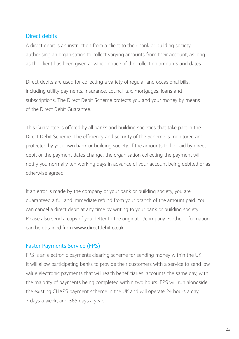### Direct debits

A direct debit is an instruction from a client to their bank or building society authorising an organisation to collect varying amounts from their account, as long as the client has been given advance notice of the collection amounts and dates.

Direct debits are used for collecting a variety of regular and occasional bills, including utility payments, insurance, council tax, mortgages, loans and subscriptions. The Direct Debit Scheme protects you and your money by means of the Direct Debit Guarantee.

This Guarantee is offered by all banks and building societies that take part in the Direct Debit Scheme. The efficiency and security of the Scheme is monitored and protected by your own bank or building society. If the amounts to be paid by direct debit or the payment dates change, the organisation collecting the payment will notify you normally ten working days in advance of your account being debited or as otherwise agreed.

If an error is made by the company or your bank or building society, you are guaranteed a full and immediate refund from your branch of the amount paid. You can cancel a direct debit at any time by writing to your bank or building society. Please also send a copy of your letter to the originator/company. Further information can be obtained from www.directdebit.co.uk

### Faster Payments Service (FPS)

FPS is an electronic payments clearing scheme for sending money within the UK. It will allow participating banks to provide their customers with a service to send low value electronic payments that will reach beneficiaries' accounts the same day, with the majority of payments being completed within two hours. FPS will run alongside the existing CHAPS payment scheme in the UK and will operate 24 hours a day, 7 days a week, and 365 days a year.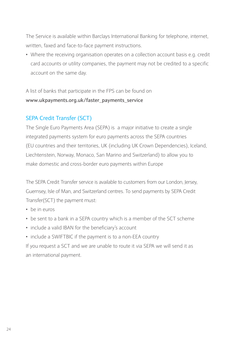The Service is available within Barclays International Banking for telephone, internet, written, faxed and face-to-face payment instructions.

• Where the receiving organisation operates on a collection account basis e.g. credit card accounts or utility companies, the payment may not be credited to a specific account on the same day.

A list of banks that participate in the FPS can be found on **www.ukpayments.org.uk/faster\_payments\_service** 

## SEPA Credit Transfer (SCT)

The Single Euro Payments Area (SEPA) is a major initiative to create a single integrated payments system for euro payments across the SEPA countries (EU countries and their territories, UK (including UK Crown Dependencies), Iceland, Liechtenstein, Norway, Monaco, San Marino and Switzerland) to allow you to make domestic and cross-border euro payments within Europe

The SEPA Credit Transfer service is available to customers from our London, Jersey, Guernsey, Isle of Man, and Switzerland centres. To send payments by SEPA Credit Transfer(SCT) the payment must:

- be in euros
- be sent to a bank in a SEPA country which is a member of the SCT scheme
- include a valid IBAN for the beneficiary's account
- include a SWIFTBIC if the payment is to a non-EEA country

If you request a SCT and we are unable to route it via SEPA we will send it as an international payment.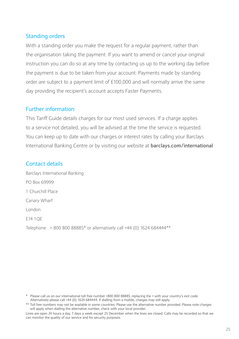### Standing orders

With a standing order you make the request for a regular payment, rather than the organisation taking the payment. If you want to amend or cancel your original instruction you can do so at any time by contacting us up to the working day before the payment is due to be taken from your account. Payments made by standing order are subject to a payment limit of £100,000 and will normally arrive the same day providing the recipient's account accepts Faster Payments.

#### Further information

This Tariff Guide details charges for our most used services. If a charge applies to a service not detailed, you will be advised at the time the service is requested. You can keep up to date with our charges or interest rates by calling your Barclays International Banking Centre or by visiting our website at **barclays.com/international**

### Contact details

Barclays International Banking PO Box 69999 1 Churchill Place Canary Wharf London E14 1QE Telephone: + 800 800 88885\* or alternatively call +44 (0) 1624 684444\*\*

\* Please call us on our international toll free number +800 800 88885, replacing the + with your country's exit code. Alternatively please call +44 (0) 1624 684444. If dialling from a mobile, charges may still apply.

<sup>\*\*</sup> Toll free numbers may not be available in some countries. Please use the alternative number provided. Please note charges will apply when dialling the alternative number, check with your local provider.

Lines are open 24 hours a day, 7 days a week except 25 December when the lines are closed. Calls may be recorded so that we can monitor the quality of our service and for security purposes.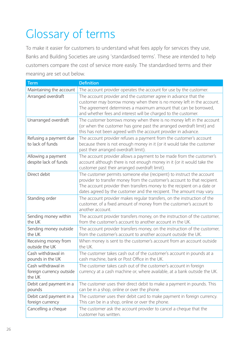# Glossary of terms

To make it easier for customers to understand what fees apply for services they use, Banks and Building Societies are using 'standardised terms'. These are intended to help customers compare the cost of service more easily. The standardised terms and their meaning are set out below.

| <b>Term</b>                                              | <b>Definition</b>                                                                                                                                                                                                                                                                                     |
|----------------------------------------------------------|-------------------------------------------------------------------------------------------------------------------------------------------------------------------------------------------------------------------------------------------------------------------------------------------------------|
| Maintaining the account                                  | The account provider operates the account for use by the customer.                                                                                                                                                                                                                                    |
| Arranged overdraft                                       | The account provider and the customer agree in advance that the<br>customer may borrow money when there is no money left in the account.<br>The agreement determines a maximum amount that can be borrowed,<br>and whether fees and interest will be charged to the customer.                         |
| Unarranged overdraft                                     | The customer borrows money when there is no money left in the account<br>(or when the customer has gone past the arranged overdraft limit) and<br>this has not been agreed with the account provider in advance.                                                                                      |
| Refusing a payment due<br>to lack of funds               | The account provider refuses a payment from the customer's account<br>because there is not enough money in it (or it would take the customer<br>past their arranged overdraft limit).                                                                                                                 |
| Allowing a payment<br>despite lack of funds              | The account provider allows a payment to be made from the customer's<br>account although there is not enough money in it (or it would take the<br>customer past their arranged overdraft limit).                                                                                                      |
| Direct debit                                             | The customer permits someone else (recipient) to instruct the account<br>provider to transfer money from the customer's account to that recipient.<br>The account provider then transfers money to the recipient on a date or<br>dates agreed by the customer and the recipient. The amount may vary. |
| Standing order                                           | The account provider makes regular transfers, on the instruction of the<br>customer, of a fixed amount of money from the customer's account to<br>another account.                                                                                                                                    |
| Sending money within<br>the UK                           | The account provider transfers money, on the instruction of the customer,<br>from the customer's account to another account in the UK.                                                                                                                                                                |
| Sending money outside<br>the UK                          | The account provider transfers money, on the instruction of the customer,<br>from the customer's account to another account outside the UK.                                                                                                                                                           |
| Receiving money from<br>outside the UK                   | When money is sent to the customer's account from an account outside<br>the UK.                                                                                                                                                                                                                       |
| Cash withdrawal in<br>pounds in the UK                   | The customer takes cash out of the customer's account in pounds at a<br>cash machine, bank or Post Office in the UK.                                                                                                                                                                                  |
| Cash withdrawal in<br>foreign currency outside<br>the UK | The customer takes cash out of the customer's account in foreign<br>currency at a cash machine or, where available, at a bank outside the UK.                                                                                                                                                         |
| Debit card payment in a<br>pounds                        | The customer uses their direct debit to make a payment in pounds. This<br>can be in a shop, online or over the phone.                                                                                                                                                                                 |
| Debit card payment in a<br>foreign currency              | The customer uses their debit card to make payment in foreign currency.<br>This can be in a shop, online or over the phone.                                                                                                                                                                           |
| Cancelling a cheque                                      | The customer ask the account provider to cancel a cheque that the<br>customer has written.                                                                                                                                                                                                            |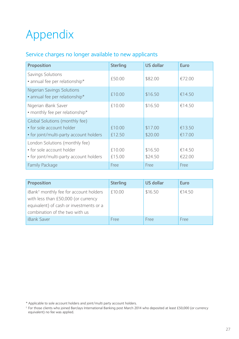# Appendix

## Service charges no longer available to new applicants

| Proposition                                                                                            | <b>Sterling</b>  | US dollar          | Euro             |
|--------------------------------------------------------------------------------------------------------|------------------|--------------------|------------------|
| Savings Solutions<br>• annual fee per relationship*                                                    | £50.00           | \$82.00            | €72.00           |
| <b>Nigerian Savings Solutions</b><br>• annual fee per relationship*                                    | £10.00           | \$16.50            | €14.50           |
| Nigerian iBank Saver<br>• monthly fee per relationship*                                                | £10.00           | \$16.50            | €14.50           |
| Global Solutions (monthly fee)<br>• for sole account holder<br>• for joint/multi-party account holders | £10.00<br>£12.50 | \$17.00<br>\$20.00 | €13.50<br>€17.00 |
| London Solutions (monthly fee)<br>• for sole account holder<br>• for joint/multi-party account holders | £10.00<br>£15.00 | \$16.50<br>\$24.50 | €14.50<br>€22.00 |
| <b>Family Package</b>                                                                                  | Free             | Free               | Free             |

| Proposition                                                                                                                                                            | <b>Sterling</b> | US dollar | Euro   |
|------------------------------------------------------------------------------------------------------------------------------------------------------------------------|-----------------|-----------|--------|
| iBank <sup>†</sup> monthly fee for account holders<br>with less than £50,000 (or currency<br>equivalent) of cash or investments or a<br>combination of the two with us | £10.00          | \$16.50   | €14.50 |
| <b>iBank Saver</b>                                                                                                                                                     | <b>Free</b>     | Free      | Free   |

\* Applicable to sole account holders and joint/multi party account holders.

<sup>†</sup> For those clients who joined Barclays International Banking post March 2014 who deposited at least £50,000 (or currency equivalent) no fee was applied.